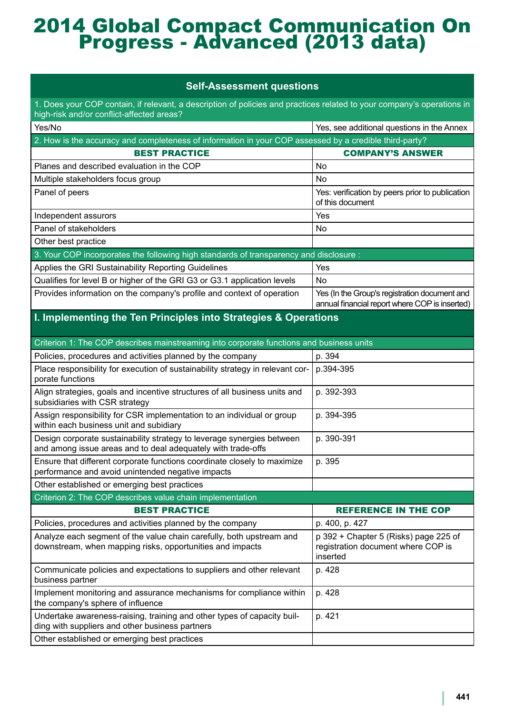## 2014 Global Compact Communication On Progress - Advanced (2013 data)

## **Self-Assessment questions**

1. Does your COP contain, if relevant, a description of policies and practices related to your company's operations in high-risk and/or conflict-affected areas?

| Yes/No                                                                                                 | Yes, see additional questions in the Annex                                                      |
|--------------------------------------------------------------------------------------------------------|-------------------------------------------------------------------------------------------------|
| 2. How is the accuracy and completeness of information in your COP assessed by a credible third-party? |                                                                                                 |
| <b>BEST PRACTICE</b>                                                                                   | <b>COMPANY'S ANSWER</b>                                                                         |
| Planes and described evaluation in the COP                                                             | No.                                                                                             |
| Multiple stakeholders focus group                                                                      | No.                                                                                             |
| Panel of peers                                                                                         | Yes: verification by peers prior to publication<br>of this document                             |
| Independent assurors                                                                                   | Yes                                                                                             |
| Panel of stakeholders                                                                                  | No.                                                                                             |
| Other best practice                                                                                    |                                                                                                 |
| 3. Your COP incorporates the following high standards of transparency and disclosure :                 |                                                                                                 |
| Applies the GRI Sustainability Reporting Guidelines                                                    | Yes                                                                                             |
| Qualifies for level B or higher of the GRI G3 or G3.1 application levels                               | No                                                                                              |
| Provides information on the company's profile and context of operation                                 | Yes (In the Group's registration document and<br>annual financial report where COP is inserted) |

## **I. Implementing the Ten Principles into Strategies & Operations**

| Criterion 1: The COP describes mainstreaming into corporate functions and business units |  |
|------------------------------------------------------------------------------------------|--|
| p. 394                                                                                   |  |
| p.394-395                                                                                |  |
| p. 392-393                                                                               |  |
| p. 394-395                                                                               |  |
| p. 390-391                                                                               |  |
| p. 395                                                                                   |  |
|                                                                                          |  |
|                                                                                          |  |
|                                                                                          |  |
| <b>REFERENCE IN THE COP</b>                                                              |  |
| p. 400, p. 427                                                                           |  |
| p 392 + Chapter 5 (Risks) page 225 of<br>registration document where COP is<br>inserted  |  |
| p. 428                                                                                   |  |
| p. 428                                                                                   |  |
| p. 421                                                                                   |  |
|                                                                                          |  |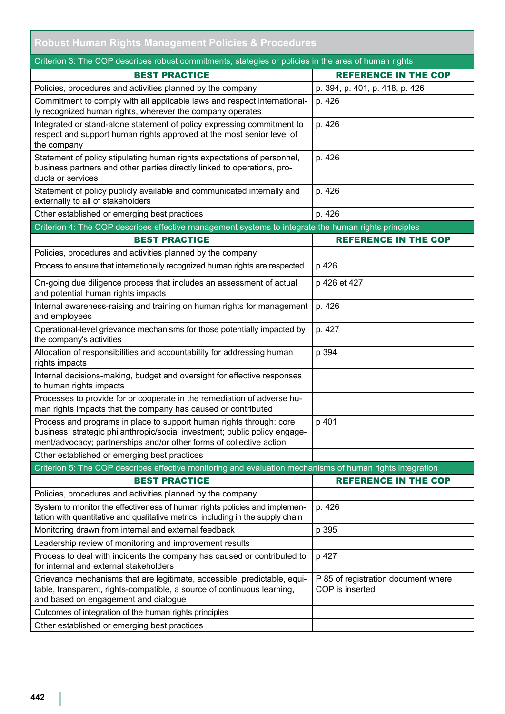| <b>Robust Human Rights Management Policies &amp; Procedures</b>                                                                                                                                                          |                                                        |
|--------------------------------------------------------------------------------------------------------------------------------------------------------------------------------------------------------------------------|--------------------------------------------------------|
| Criterion 3: The COP describes robust commitments, stategies or policies in the area of human rights                                                                                                                     |                                                        |
| <b>BEST PRACTICE</b>                                                                                                                                                                                                     | <b>REFERENCE IN THE COP</b>                            |
| Policies, procedures and activities planned by the company                                                                                                                                                               | p. 394, p. 401, p. 418, p. 426                         |
| Commitment to comply with all applicable laws and respect international-<br>ly recognized human rights, wherever the company operates                                                                                    | p. 426                                                 |
| Integrated or stand-alone statement of policy expressing commitment to<br>respect and support human rights approved at the most senior level of<br>the company                                                           | p. 426                                                 |
| Statement of policy stipulating human rights expectations of personnel,<br>business partners and other parties directly linked to operations, pro-<br>ducts or services                                                  | p. 426                                                 |
| Statement of policy publicly available and communicated internally and<br>externally to all of stakeholders                                                                                                              | p. 426                                                 |
| Other established or emerging best practices                                                                                                                                                                             | p. 426                                                 |
| Criterion 4: The COP describes effective management systems to integrate the human rights principles                                                                                                                     |                                                        |
| <b>BEST PRACTICE</b>                                                                                                                                                                                                     | <b>REFERENCE IN THE COP</b>                            |
| Policies, procedures and activities planned by the company                                                                                                                                                               |                                                        |
| Process to ensure that internationally recognized human rights are respected                                                                                                                                             | p 426                                                  |
| On-going due diligence process that includes an assessment of actual<br>and potential human rights impacts                                                                                                               | p 426 et 427                                           |
| Internal awareness-raising and training on human rights for management<br>and employees                                                                                                                                  | p. 426                                                 |
| Operational-level grievance mechanisms for those potentially impacted by<br>the company's activities                                                                                                                     | p. 427                                                 |
| Allocation of responsibilities and accountability for addressing human<br>rights impacts                                                                                                                                 | p 394                                                  |
| Internal decisions-making, budget and oversight for effective responses<br>to human rights impacts                                                                                                                       |                                                        |
| Processes to provide for or cooperate in the remediation of adverse hu-<br>man rights impacts that the company has caused or contributed                                                                                 |                                                        |
| Process and programs in place to support human rights through: core<br>business; strategic philanthropic/social investment; public policy engage-<br>ment/advocacy; partnerships and/or other forms of collective action | p 401                                                  |
| Other established or emerging best practices                                                                                                                                                                             |                                                        |
| Criterion 5: The COP describes effective monitoring and evaluation mechanisms of human rights integration                                                                                                                |                                                        |
| <b>BEST PRACTICE</b>                                                                                                                                                                                                     | <b>REFERENCE IN THE COP</b>                            |
| Policies, procedures and activities planned by the company                                                                                                                                                               |                                                        |
| System to monitor the effectiveness of human rights policies and implemen-<br>tation with quantitative and qualitative metrics, including in the supply chain                                                            | p. 426                                                 |
| Monitoring drawn from internal and external feedback                                                                                                                                                                     | p 395                                                  |
| Leadership review of monitoring and improvement results                                                                                                                                                                  |                                                        |
| Process to deal with incidents the company has caused or contributed to<br>for internal and external stakeholders                                                                                                        | p 427                                                  |
| Grievance mechanisms that are legitimate, accessible, predictable, equi-<br>table, transparent, rights-compatible, a source of continuous learning,<br>and based on engagement and dialogue                              | P 85 of registration document where<br>COP is inserted |
| Outcomes of integration of the human rights principles                                                                                                                                                                   |                                                        |
| Other established or emerging best practices                                                                                                                                                                             |                                                        |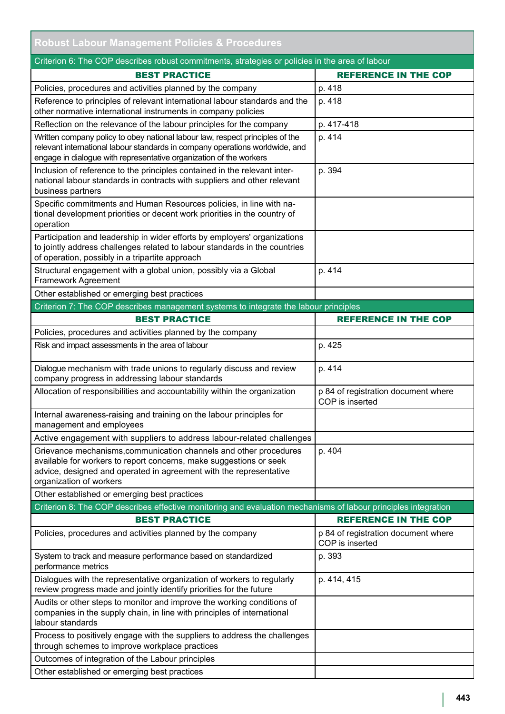| <b>Robust Labour Management Policies &amp; Procedures</b>                                                                                                                                                                                |                                                        |
|------------------------------------------------------------------------------------------------------------------------------------------------------------------------------------------------------------------------------------------|--------------------------------------------------------|
| Criterion 6: The COP describes robust commitments, strategies or policies in the area of labour                                                                                                                                          |                                                        |
| <b>BEST PRACTICE</b>                                                                                                                                                                                                                     | <b>REFERENCE IN THE COP</b>                            |
| Policies, procedures and activities planned by the company                                                                                                                                                                               | p. 418                                                 |
| Reference to principles of relevant international labour standards and the<br>other normative international instruments in company policies                                                                                              | p. 418                                                 |
| Reflection on the relevance of the labour principles for the company                                                                                                                                                                     | p. 417-418                                             |
| Written company policy to obey national labour law, respect principles of the<br>relevant international labour standards in company operations worldwide, and<br>engage in dialogue with representative organization of the workers      | p. 414                                                 |
| Inclusion of reference to the principles contained in the relevant inter-<br>national labour standards in contracts with suppliers and other relevant<br>business partners                                                               | p. 394                                                 |
| Specific commitments and Human Resources policies, in line with na-<br>tional development priorities or decent work priorities in the country of<br>operation                                                                            |                                                        |
| Participation and leadership in wider efforts by employers' organizations<br>to jointly address challenges related to labour standards in the countries<br>of operation, possibly in a tripartite approach                               |                                                        |
| Structural engagement with a global union, possibly via a Global<br>Framework Agreement                                                                                                                                                  | p. 414                                                 |
| Other established or emerging best practices                                                                                                                                                                                             |                                                        |
| Criterion 7: The COP describes management systems to integrate the labour principles                                                                                                                                                     |                                                        |
| <b>BEST PRACTICE</b>                                                                                                                                                                                                                     | <b>REFERENCE IN THE COP</b>                            |
| Policies, procedures and activities planned by the company                                                                                                                                                                               |                                                        |
| Risk and impact assessments in the area of labour                                                                                                                                                                                        | p. 425                                                 |
| Dialogue mechanism with trade unions to regularly discuss and review<br>company progress in addressing labour standards                                                                                                                  | p. 414                                                 |
| Allocation of responsibilities and accountability within the organization                                                                                                                                                                | p 84 of registration document where<br>COP is inserted |
| Internal awareness-raising and training on the labour principles for<br>management and employees                                                                                                                                         |                                                        |
| Active engagement with suppliers to address labour-related challenges                                                                                                                                                                    |                                                        |
| Grievance mechanisms, communication channels and other procedures<br>available for workers to report concerns, make suggestions or seek<br>advice, designed and operated in agreement with the representative<br>organization of workers | p. 404                                                 |
| Other established or emerging best practices                                                                                                                                                                                             |                                                        |
| Criterion 8: The COP describes effective monitoring and evaluation mechanisms of labour principles integration                                                                                                                           |                                                        |
| <b>BEST PRACTICE</b>                                                                                                                                                                                                                     | <b>REFERENCE IN THE COP</b>                            |
| Policies, procedures and activities planned by the company                                                                                                                                                                               | p 84 of registration document where<br>COP is inserted |
| System to track and measure performance based on standardized<br>performance metrics                                                                                                                                                     | p. 393                                                 |
| Dialogues with the representative organization of workers to regularly<br>review progress made and jointly identify priorities for the future                                                                                            | p. 414, 415                                            |
| Audits or other steps to monitor and improve the working conditions of<br>companies in the supply chain, in line with principles of international<br>labour standards                                                                    |                                                        |
| Process to positively engage with the suppliers to address the challenges<br>through schemes to improve workplace practices                                                                                                              |                                                        |
| Outcomes of integration of the Labour principles                                                                                                                                                                                         |                                                        |
| Other established or emerging best practices                                                                                                                                                                                             |                                                        |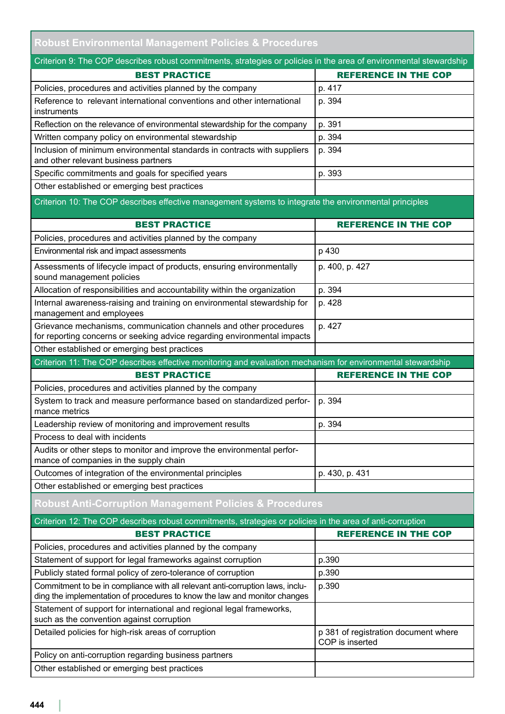|                                                                                                                                                                           | <b>Robust Environmental Management Policies &amp; Procedures</b> |  |
|---------------------------------------------------------------------------------------------------------------------------------------------------------------------------|------------------------------------------------------------------|--|
| Criterion 9: The COP describes robust commitments, strategies or policies in the area of environmental stewardship                                                        |                                                                  |  |
| <b>BEST PRACTICE</b>                                                                                                                                                      | <b>REFERENCE IN THE COP</b>                                      |  |
| Policies, procedures and activities planned by the company                                                                                                                | p. 417                                                           |  |
| Reference to relevant international conventions and other international<br>instruments                                                                                    | p. 394                                                           |  |
| Reflection on the relevance of environmental stewardship for the company                                                                                                  | p. 391                                                           |  |
| Written company policy on environmental stewardship                                                                                                                       | p. 394                                                           |  |
| Inclusion of minimum environmental standards in contracts with suppliers<br>and other relevant business partners                                                          | p. 394                                                           |  |
| Specific commitments and goals for specified years                                                                                                                        | p. 393                                                           |  |
| Other established or emerging best practices                                                                                                                              |                                                                  |  |
| Criterion 10: The COP describes effective management systems to integrate the environmental principles                                                                    |                                                                  |  |
|                                                                                                                                                                           |                                                                  |  |
| <b>BEST PRACTICE</b>                                                                                                                                                      | <b>REFERENCE IN THE COP</b>                                      |  |
| Policies, procedures and activities planned by the company                                                                                                                |                                                                  |  |
| Environmental risk and impact assessments                                                                                                                                 | p 430                                                            |  |
| Assessments of lifecycle impact of products, ensuring environmentally<br>sound management policies                                                                        | p. 400, p. 427                                                   |  |
| Allocation of responsibilities and accountability within the organization                                                                                                 | p. 394                                                           |  |
| Internal awareness-raising and training on environmental stewardship for<br>management and employees                                                                      | p. 428                                                           |  |
| Grievance mechanisms, communication channels and other procedures<br>for reporting concerns or seeking advice regarding environmental impacts                             | p. 427                                                           |  |
| Other established or emerging best practices                                                                                                                              |                                                                  |  |
| Criterion 11: The COP describes effective monitoring and evaluation mechanism for environmental stewardship                                                               |                                                                  |  |
| <b>BEST PRACTICE</b>                                                                                                                                                      | <b>REFERENCE IN THE COP</b>                                      |  |
| Policies, procedures and activities planned by the company                                                                                                                |                                                                  |  |
| System to track and measure performance based on standardized perfor-<br>mance metrics                                                                                    | p. 394                                                           |  |
|                                                                                                                                                                           |                                                                  |  |
| Leadership review of monitoring and improvement results                                                                                                                   | p. 394                                                           |  |
| Process to deal with incidents                                                                                                                                            |                                                                  |  |
| Audits or other steps to monitor and improve the environmental perfor-<br>mance of companies in the supply chain                                                          |                                                                  |  |
| Outcomes of integration of the environmental principles                                                                                                                   | p. 430, p. 431                                                   |  |
| Other established or emerging best practices                                                                                                                              |                                                                  |  |
| <b>Robust Anti-Corruption Management Policies &amp; Procedures</b>                                                                                                        |                                                                  |  |
| Criterion 12: The COP describes robust commitments, strategies or policies in the area of anti-corruption                                                                 |                                                                  |  |
| <b>BEST PRACTICE</b>                                                                                                                                                      | <b>REFERENCE IN THE COP</b>                                      |  |
| Policies, procedures and activities planned by the company                                                                                                                |                                                                  |  |
| Statement of support for legal frameworks against corruption                                                                                                              | p.390                                                            |  |
| Publicly stated formal policy of zero-tolerance of corruption                                                                                                             | p.390                                                            |  |
| Commitment to be in compliance with all relevant anti-corruption laws, inclu-<br>ding the implementation of procedures to know the law and monitor changes                | p.390                                                            |  |
| Statement of support for international and regional legal frameworks,<br>such as the convention against corruption<br>Detailed policies for high-risk areas of corruption | p 381 of registration document where                             |  |

Policy on anti-corruption regarding business partners Other established or emerging best practices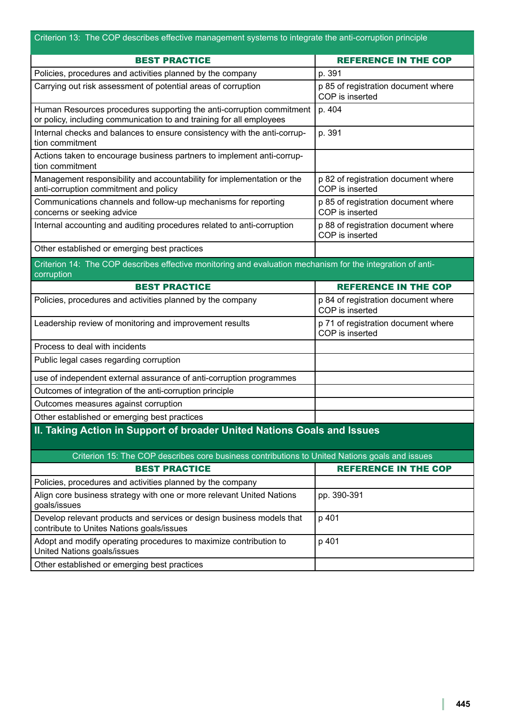| Criterion 13: The COP describes effective management systems to integrate the anti-corruption principle                                      |                                                        |
|----------------------------------------------------------------------------------------------------------------------------------------------|--------------------------------------------------------|
| <b>BEST PRACTICE</b>                                                                                                                         | <b>REFERENCE IN THE COP</b>                            |
| Policies, procedures and activities planned by the company                                                                                   | p. 391                                                 |
| Carrying out risk assessment of potential areas of corruption                                                                                | p 85 of registration document where<br>COP is inserted |
| Human Resources procedures supporting the anti-corruption commitment<br>or policy, including communication to and training for all employees | p. 404                                                 |
| Internal checks and balances to ensure consistency with the anti-corrup-<br>tion commitment                                                  | p. 391                                                 |
| Actions taken to encourage business partners to implement anti-corrup-<br>tion commitment                                                    |                                                        |
| Management responsibility and accountability for implementation or the<br>anti-corruption commitment and policy                              | p 82 of registration document where<br>COP is inserted |
| Communications channels and follow-up mechanisms for reporting<br>concerns or seeking advice                                                 | p 85 of registration document where<br>COP is inserted |
| Internal accounting and auditing procedures related to anti-corruption                                                                       | p 88 of registration document where<br>COP is inserted |
| Other established or emerging best practices                                                                                                 |                                                        |
| Criterion 14: The COP describes effective monitoring and evaluation mechanism for the integration of anti-<br>corruption                     |                                                        |
| <b>BEST PRACTICE</b>                                                                                                                         | <b>REFERENCE IN THE COP</b>                            |
| Policies, procedures and activities planned by the company                                                                                   | p 84 of registration document where<br>COP is inserted |
| Leadership review of monitoring and improvement results                                                                                      | p 71 of registration document where<br>COP is inserted |
| Process to deal with incidents                                                                                                               |                                                        |
| Public legal cases regarding corruption                                                                                                      |                                                        |
| use of independent external assurance of anti-corruption programmes                                                                          |                                                        |
| Outcomes of integration of the anti-corruption principle                                                                                     |                                                        |
| Outcomes measures against corruption                                                                                                         |                                                        |
| Other established or emerging best practices                                                                                                 |                                                        |
| II. Taking Action in Support of broader United Nations Goals and Issues                                                                      |                                                        |
| Criterion 15: The COP describes core business contributions to United Nations goals and issues                                               |                                                        |
| <b>BEST PRACTICE</b>                                                                                                                         | <b>REFERENCE IN THE COP</b>                            |
| Policies, procedures and activities planned by the company                                                                                   |                                                        |
| Align core business strategy with one or more relevant United Nations<br>goals/issues                                                        | pp. 390-391                                            |
| Develop relevant products and services or design business models that<br>contribute to Unites Nations goals/issues                           | p 401                                                  |
| Adopt and modify operating procedures to maximize contribution to<br>United Nations goals/issues                                             | p 401                                                  |
| Other established or emerging best practices                                                                                                 |                                                        |

T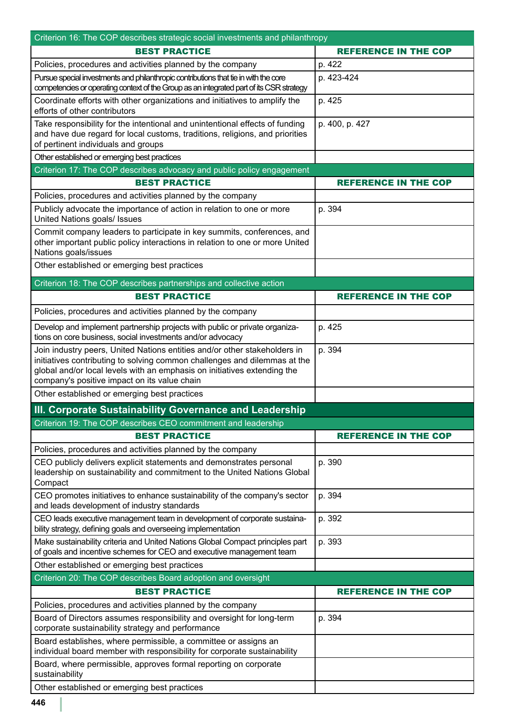| Criterion 16: The COP describes strategic social investments and philanthropy                                                                                                                                                                                                      |                             |
|------------------------------------------------------------------------------------------------------------------------------------------------------------------------------------------------------------------------------------------------------------------------------------|-----------------------------|
| <b>BEST PRACTICE</b>                                                                                                                                                                                                                                                               | <b>REFERENCE IN THE COP</b> |
| Policies, procedures and activities planned by the company                                                                                                                                                                                                                         | p. 422                      |
| Pursue special investments and philanthropic contributions that tie in with the core<br>competencies or operating context of the Group as an integrated part of its CSR strategy                                                                                                   | p. 423-424                  |
| Coordinate efforts with other organizations and initiatives to amplify the<br>efforts of other contributors                                                                                                                                                                        | p. 425                      |
| Take responsibility for the intentional and unintentional effects of funding<br>and have due regard for local customs, traditions, religions, and priorities<br>of pertinent individuals and groups                                                                                | p. 400, p. 427              |
| Other established or emerging best practices                                                                                                                                                                                                                                       |                             |
| Criterion 17: The COP describes advocacy and public policy engagement                                                                                                                                                                                                              |                             |
| <b>BEST PRACTICE</b>                                                                                                                                                                                                                                                               | <b>REFERENCE IN THE COP</b> |
| Policies, procedures and activities planned by the company                                                                                                                                                                                                                         |                             |
| Publicly advocate the importance of action in relation to one or more<br>United Nations goals/ Issues                                                                                                                                                                              | p. 394                      |
| Commit company leaders to participate in key summits, conferences, and<br>other important public policy interactions in relation to one or more United<br>Nations goals/issues                                                                                                     |                             |
| Other established or emerging best practices                                                                                                                                                                                                                                       |                             |
| Criterion 18: The COP describes partnerships and collective action                                                                                                                                                                                                                 |                             |
| <b>BEST PRACTICE</b>                                                                                                                                                                                                                                                               | <b>REFERENCE IN THE COP</b> |
| Policies, procedures and activities planned by the company                                                                                                                                                                                                                         |                             |
| Develop and implement partnership projects with public or private organiza-<br>tions on core business, social investments and/or advocacy                                                                                                                                          | p. 425                      |
| Join industry peers, United Nations entities and/or other stakeholders in<br>initiatives contributing to solving common challenges and dilemmas at the<br>global and/or local levels with an emphasis on initiatives extending the<br>company's positive impact on its value chain | p. 394                      |
| Other established or emerging best practices                                                                                                                                                                                                                                       |                             |
| III. Corporate Sustainability Governance and Leadership                                                                                                                                                                                                                            |                             |
| Criterion 19: The COP describes CEO commitment and leadership                                                                                                                                                                                                                      |                             |
| <b>BEST PRACTICE</b>                                                                                                                                                                                                                                                               | <b>REFERENCE IN THE COP</b> |
| Policies, procedures and activities planned by the company                                                                                                                                                                                                                         |                             |
| CEO publicly delivers explicit statements and demonstrates personal<br>leadership on sustainability and commitment to the United Nations Global<br>Compact                                                                                                                         | p. 390                      |
| CEO promotes initiatives to enhance sustainability of the company's sector<br>and leads development of industry standards                                                                                                                                                          | p. 394                      |
| CEO leads executive management team in development of corporate sustaina-<br>bility strategy, defining goals and overseeing implementation                                                                                                                                         | p. 392                      |
| Make sustainability criteria and United Nations Global Compact principles part<br>of goals and incentive schemes for CEO and executive management team                                                                                                                             | p. 393                      |
| Other established or emerging best practices                                                                                                                                                                                                                                       |                             |
| Criterion 20: The COP describes Board adoption and oversight                                                                                                                                                                                                                       |                             |
| <b>BEST PRACTICE</b>                                                                                                                                                                                                                                                               | <b>REFERENCE IN THE COP</b> |
| Policies, procedures and activities planned by the company                                                                                                                                                                                                                         |                             |
| Board of Directors assumes responsibility and oversight for long-term<br>corporate sustainability strategy and performance                                                                                                                                                         | p. 394                      |
| Board establishes, where permissible, a committee or assigns an<br>individual board member with responsibility for corporate sustainability                                                                                                                                        |                             |
| Board, where permissible, approves formal reporting on corporate<br>sustainability                                                                                                                                                                                                 |                             |
| Other established or emerging best practices                                                                                                                                                                                                                                       |                             |